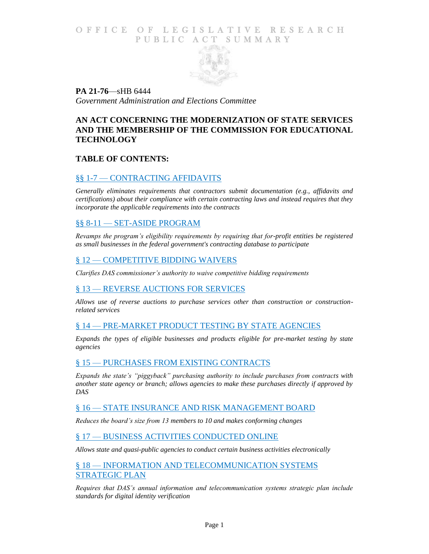## O F FICE OF LEGISLATIVE RESEARCH PUBLIC ACT SUMMARY



**PA 21-76**—sHB 6444 *Government Administration and Elections Committee*

# **AN ACT CONCERNING THE MODERNIZATION OF STATE SERVICES AND THE MEMBERSHIP OF THE COMMISSION FOR EDUCATIONAL TECHNOLOGY**

## **TABLE OF CONTENTS:**

## §§ 1-7 — [CONTRACTING AFFIDAVITS](#page-1-0)

*[Generally eliminates requirements that contractors](#page-1-1) submit documentation (e.g., affidavits and [certifications\) about their compliance with certain contracting laws and instead requires that they](#page-1-1)  [incorporate the applicable requirements into the contracts](#page-1-1)*

### §§ 8-11 — [SET-ASIDE PROGRAM](#page-4-0)

*[Revamps the program's eligibility requirements by requiring that for-profit entities be registered](#page-5-0)  as small businesses [in the federal government's contracting database to participate](#page-5-0)*

### § 12 — [COMPETITIVE BIDDING WAIVERS](#page-5-1)

*[Clarifies DAS commissioner's authority to waive competitive bidding requirements](#page-5-2)*

### § 13 — [REVERSE AUCTIONS FOR](#page-5-3) SERVICES

*[Allows use of reverse auctions to purchase services other than construction or construction](#page-5-4)[related services](#page-5-4)*

## § 14 — [PRE-MARKET PRODUCT TESTING BY STATE AGENCIES](#page-6-0)

*Expands the types of eligible businesses [and products eligible for pre-market testing by state](#page-6-1)  [agencies](#page-6-1)*

### § 15 — [PURCHASES FROM EXISTING CONTRACTS](#page-7-0)

*[Expands the state's "piggyback" purchasing authority to include purchases from contracts with](#page-7-1)  [another state agency or branch; allows agencies to make these purchases directly if approved by](#page-7-1)  [DAS](#page-7-1)*

### § 16 — [STATE INSURANCE AND RISK MANAGEMENT BOARD](#page-8-0)

*[Reduces the board's size from 13 members to 10 and makes conforming changes](#page-8-1)*

### § 17 — [BUSINESS ACTIVITIES CONDUCTED ONLINE](#page-8-2)

*[Allows state and quasi-public agencies to conduct certain business activities electronically](#page-8-3)*

### § 18 — [INFORMATION AND TELECOMMUNICATION SYSTEMS](#page-8-4)  [STRATEGIC PLAN](#page-8-4)

*[Requires that DAS's annual information and telecommunication systems strategic plan include](#page-9-0)  [standards for digital identity verification](#page-9-0)*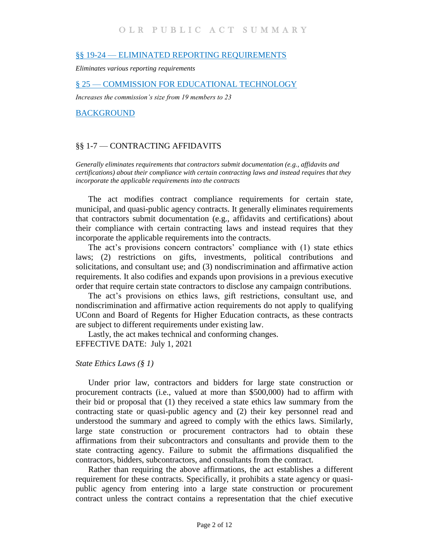#### §§ 19-24 — [ELIMINATED REPORTING](#page-9-1) REQUIREMENTS

*[Eliminates various reporting requirements](#page-9-2)*

#### § 25 — [COMMISSION FOR EDUCATIONAL TECHNOLOGY](#page-10-0)

*[Increases the commission's size from 19 members to 23](#page-10-1)*

[BACKGROUND](#page-10-2)

### <span id="page-1-0"></span>§§ 1-7 — CONTRACTING AFFIDAVITS

<span id="page-1-1"></span>*Generally eliminates requirements that contractors submit documentation (e.g., affidavits and certifications) about their compliance with certain contracting laws and instead requires that they incorporate the applicable requirements into the contracts*

The act modifies contract compliance requirements for certain state, municipal, and quasi-public agency contracts. It generally eliminates requirements that contractors submit documentation (e.g., affidavits and certifications) about their compliance with certain contracting laws and instead requires that they incorporate the applicable requirements into the contracts.

The act's provisions concern contractors' compliance with (1) state ethics laws; (2) restrictions on gifts, investments, political contributions and solicitations, and consultant use; and (3) nondiscrimination and affirmative action requirements. It also codifies and expands upon provisions in a previous executive order that require certain state contractors to disclose any campaign contributions.

The act's provisions on ethics laws, gift restrictions, consultant use, and nondiscrimination and affirmative action requirements do not apply to qualifying UConn and Board of Regents for Higher Education contracts, as these contracts are subject to different requirements under existing law.

Lastly, the act makes technical and conforming changes. EFFECTIVE DATE: July 1, 2021

#### *State Ethics Laws (§ 1)*

Under prior law, contractors and bidders for large state construction or procurement contracts (i.e., valued at more than \$500,000) had to affirm with their bid or proposal that (1) they received a state ethics law summary from the contracting state or quasi-public agency and (2) their key personnel read and understood the summary and agreed to comply with the ethics laws. Similarly, large state construction or procurement contractors had to obtain these affirmations from their subcontractors and consultants and provide them to the state contracting agency. Failure to submit the affirmations disqualified the contractors, bidders, subcontractors, and consultants from the contract.

Rather than requiring the above affirmations, the act establishes a different requirement for these contracts. Specifically, it prohibits a state agency or quasipublic agency from entering into a large state construction or procurement contract unless the contract contains a representation that the chief executive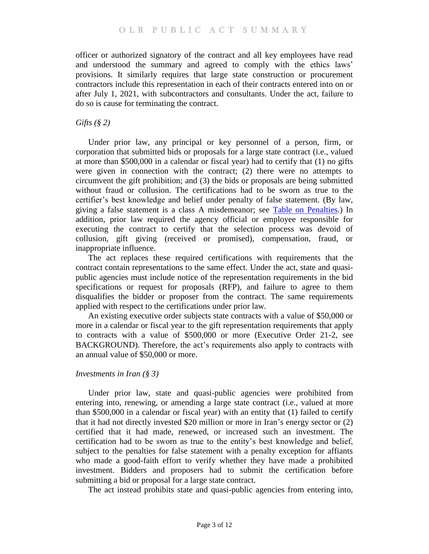officer or authorized signatory of the contract and all key employees have read and understood the summary and agreed to comply with the ethics laws' provisions. It similarly requires that large state construction or procurement contractors include this representation in each of their contracts entered into on or after July 1, 2021, with subcontractors and consultants. Under the act, failure to do so is cause for terminating the contract.

### *Gifts (§ 2)*

Under prior law, any principal or key personnel of a person, firm, or corporation that submitted bids or proposals for a large state contract (i.e., valued at more than \$500,000 in a calendar or fiscal year) had to certify that (1) no gifts were given in connection with the contract; (2) there were no attempts to circumvent the gift prohibition; and (3) the bids or proposals are being submitted without fraud or collusion. The certifications had to be sworn as true to the certifier's best knowledge and belief under penalty of false statement. (By law, giving a false statement is a class A misdemeanor; see [Table on Penalties.](https://www.cga.ct.gov/2021/rpt/pdf/2021-R-0123.pdf)) In addition, prior law required the agency official or employee responsible for executing the contract to certify that the selection process was devoid of collusion, gift giving (received or promised), compensation, fraud, or inappropriate influence.

The act replaces these required certifications with requirements that the contract contain representations to the same effect. Under the act, state and quasipublic agencies must include notice of the representation requirements in the bid specifications or request for proposals (RFP), and failure to agree to them disqualifies the bidder or proposer from the contract. The same requirements applied with respect to the certifications under prior law.

An existing executive order subjects state contracts with a value of \$50,000 or more in a calendar or fiscal year to the gift representation requirements that apply to contracts with a value of \$500,000 or more (Executive Order 21-2, see BACKGROUND). Therefore, the act's requirements also apply to contracts with an annual value of \$50,000 or more.

### *Investments in Iran (§ 3)*

Under prior law, state and quasi-public agencies were prohibited from entering into, renewing, or amending a large state contract (i.e., valued at more than \$500,000 in a calendar or fiscal year) with an entity that (1) failed to certify that it had not directly invested \$20 million or more in Iran's energy sector or (2) certified that it had made, renewed, or increased such an investment. The certification had to be sworn as true to the entity's best knowledge and belief, subject to the penalties for false statement with a penalty exception for affiants who made a good-faith effort to verify whether they have made a prohibited investment. Bidders and proposers had to submit the certification before submitting a bid or proposal for a large state contract.

The act instead prohibits state and quasi-public agencies from entering into,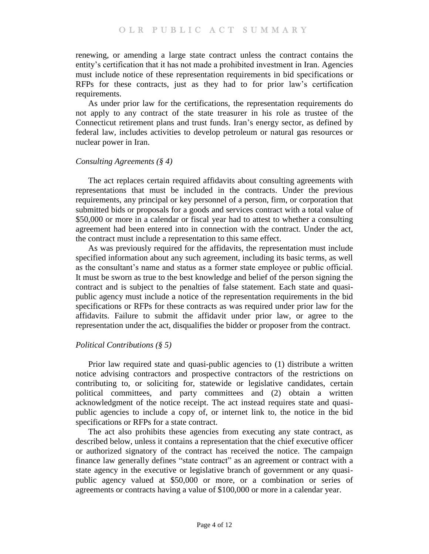renewing, or amending a large state contract unless the contract contains the entity's certification that it has not made a prohibited investment in Iran. Agencies must include notice of these representation requirements in bid specifications or RFPs for these contracts, just as they had to for prior law's certification requirements.

As under prior law for the certifications, the representation requirements do not apply to any contract of the state treasurer in his role as trustee of the Connecticut retirement plans and trust funds. Iran's energy sector, as defined by federal law, includes activities to develop petroleum or natural gas resources or nuclear power in Iran.

### *Consulting Agreements (§ 4)*

The act replaces certain required affidavits about consulting agreements with representations that must be included in the contracts. Under the previous requirements, any principal or key personnel of a person, firm, or corporation that submitted bids or proposals for a goods and services contract with a total value of \$50,000 or more in a calendar or fiscal year had to attest to whether a consulting agreement had been entered into in connection with the contract. Under the act, the contract must include a representation to this same effect.

As was previously required for the affidavits, the representation must include specified information about any such agreement, including its basic terms, as well as the consultant's name and status as a former state employee or public official. It must be sworn as true to the best knowledge and belief of the person signing the contract and is subject to the penalties of false statement. Each state and quasipublic agency must include a notice of the representation requirements in the bid specifications or RFPs for these contracts as was required under prior law for the affidavits. Failure to submit the affidavit under prior law, or agree to the representation under the act, disqualifies the bidder or proposer from the contract.

## *Political Contributions (§ 5)*

Prior law required state and quasi-public agencies to (1) distribute a written notice advising contractors and prospective contractors of the restrictions on contributing to, or soliciting for, statewide or legislative candidates, certain political committees, and party committees and (2) obtain a written acknowledgment of the notice receipt. The act instead requires state and quasipublic agencies to include a copy of, or internet link to, the notice in the bid specifications or RFPs for a state contract.

The act also prohibits these agencies from executing any state contract, as described below, unless it contains a representation that the chief executive officer or authorized signatory of the contract has received the notice. The campaign finance law generally defines "state contract" as an agreement or contract with a state agency in the executive or legislative branch of government or any quasipublic agency valued at \$50,000 or more, or a combination or series of agreements or contracts having a value of \$100,000 or more in a calendar year.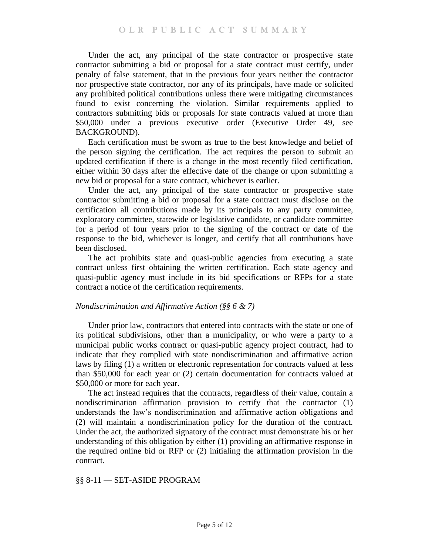Under the act, any principal of the state contractor or prospective state contractor submitting a bid or proposal for a state contract must certify, under penalty of false statement, that in the previous four years neither the contractor nor prospective state contractor, nor any of its principals, have made or solicited any prohibited political contributions unless there were mitigating circumstances found to exist concerning the violation. Similar requirements applied to contractors submitting bids or proposals for state contracts valued at more than \$50,000 under a previous executive order (Executive Order 49, see BACKGROUND).

Each certification must be sworn as true to the best knowledge and belief of the person signing the certification. The act requires the person to submit an updated certification if there is a change in the most recently filed certification, either within 30 days after the effective date of the change or upon submitting a new bid or proposal for a state contract, whichever is earlier.

Under the act, any principal of the state contractor or prospective state contractor submitting a bid or proposal for a state contract must disclose on the certification all contributions made by its principals to any party committee, exploratory committee, statewide or legislative candidate, or candidate committee for a period of four years prior to the signing of the contract or date of the response to the bid, whichever is longer, and certify that all contributions have been disclosed.

The act prohibits state and quasi-public agencies from executing a state contract unless first obtaining the written certification. Each state agency and quasi-public agency must include in its bid specifications or RFPs for a state contract a notice of the certification requirements.

### *Nondiscrimination and Affirmative Action (§§ 6 & 7)*

Under prior law, contractors that entered into contracts with the state or one of its political subdivisions, other than a municipality, or who were a party to a municipal public works contract or quasi-public agency project contract, had to indicate that they complied with state nondiscrimination and affirmative action laws by filing (1) a written or electronic representation for contracts valued at less than \$50,000 for each year or (2) certain documentation for contracts valued at \$50,000 or more for each year.

The act instead requires that the contracts, regardless of their value, contain a nondiscrimination affirmation provision to certify that the contractor (1) understands the law's nondiscrimination and affirmative action obligations and (2) will maintain a nondiscrimination policy for the duration of the contract. Under the act, the authorized signatory of the contract must demonstrate his or her understanding of this obligation by either (1) providing an affirmative response in the required online bid or RFP or (2) initialing the affirmation provision in the contract.

## <span id="page-4-0"></span>§§ 8-11 — SET-ASIDE PROGRAM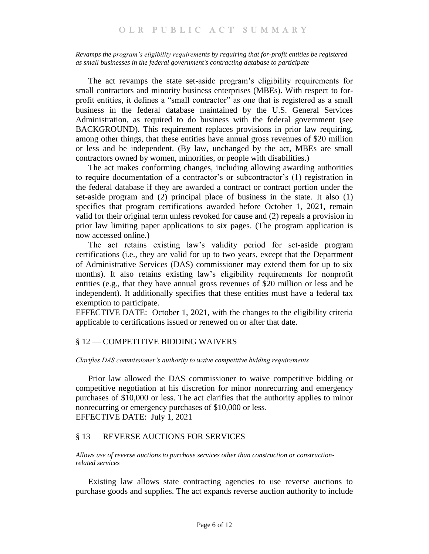#### <span id="page-5-0"></span>*Revamps the program's eligibility requirements by requiring that for-profit entities be registered as small businesses in the federal government's contracting database to participate*

The act revamps the state set-aside program's eligibility requirements for small contractors and minority business enterprises (MBEs). With respect to forprofit entities, it defines a "small contractor" as one that is registered as a small business in the federal database maintained by the U.S. General Services Administration, as required to do business with the federal government (see BACKGROUND). This requirement replaces provisions in prior law requiring, among other things, that these entities have annual gross revenues of \$20 million or less and be independent. (By law, unchanged by the act, MBEs are small contractors owned by women, minorities, or people with disabilities.)

The act makes conforming changes, including allowing awarding authorities to require documentation of a contractor's or subcontractor's (1) registration in the federal database if they are awarded a contract or contract portion under the set-aside program and (2) principal place of business in the state. It also (1) specifies that program certifications awarded before October 1, 2021, remain valid for their original term unless revoked for cause and (2) repeals a provision in prior law limiting paper applications to six pages. (The program application is now accessed online.)

The act retains existing law's validity period for set-aside program certifications (i.e., they are valid for up to two years, except that the Department of Administrative Services (DAS) commissioner may extend them for up to six months). It also retains existing law's eligibility requirements for nonprofit entities (e.g., that they have annual gross revenues of \$20 million or less and be independent). It additionally specifies that these entities must have a federal tax exemption to participate.

EFFECTIVE DATE: October 1, 2021, with the changes to the eligibility criteria applicable to certifications issued or renewed on or after that date.

## <span id="page-5-1"></span>§ 12 — COMPETITIVE BIDDING WAIVERS

#### <span id="page-5-2"></span>*Clarifies DAS commissioner's authority to waive competitive bidding requirements*

Prior law allowed the DAS commissioner to waive competitive bidding or competitive negotiation at his discretion for minor nonrecurring and emergency purchases of \$10,000 or less. The act clarifies that the authority applies to minor nonrecurring or emergency purchases of \$10,000 or less. EFFECTIVE DATE: July 1, 2021

### <span id="page-5-3"></span>§ 13 — REVERSE AUCTIONS FOR SERVICES

<span id="page-5-4"></span>*Allows use of reverse auctions to purchase services other than construction or constructionrelated services*

Existing law allows state contracting agencies to use reverse auctions to purchase goods and supplies. The act expands reverse auction authority to include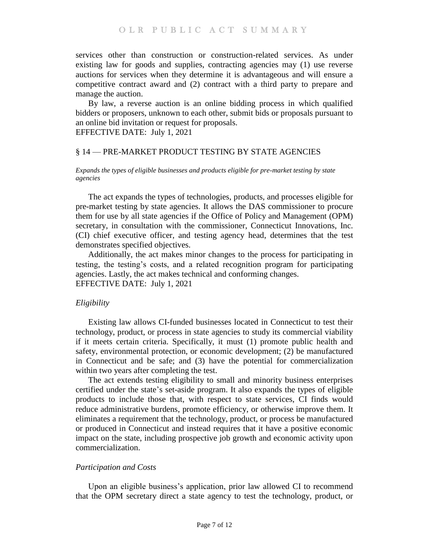services other than construction or construction-related services. As under existing law for goods and supplies, contracting agencies may (1) use reverse auctions for services when they determine it is advantageous and will ensure a competitive contract award and (2) contract with a third party to prepare and manage the auction.

By law, a reverse auction is an online bidding process in which qualified bidders or proposers, unknown to each other, submit bids or proposals pursuant to an online bid invitation or request for proposals.

EFFECTIVE DATE: July 1, 2021

### <span id="page-6-0"></span>§ 14 — PRE-MARKET PRODUCT TESTING BY STATE AGENCIES

#### <span id="page-6-1"></span>*Expands the types of eligible businesses and products eligible for pre-market testing by state agencies*

The act expands the types of technologies, products, and processes eligible for pre-market testing by state agencies. It allows the DAS commissioner to procure them for use by all state agencies if the Office of Policy and Management (OPM) secretary, in consultation with the commissioner, Connecticut Innovations, Inc. (CI) chief executive officer, and testing agency head, determines that the test demonstrates specified objectives.

Additionally, the act makes minor changes to the process for participating in testing, the testing's costs, and a related recognition program for participating agencies. Lastly, the act makes technical and conforming changes. EFFECTIVE DATE: July 1, 2021

### *Eligibility*

Existing law allows CI-funded businesses located in Connecticut to test their technology, product, or process in state agencies to study its commercial viability if it meets certain criteria. Specifically, it must (1) promote public health and safety, environmental protection, or economic development; (2) be manufactured in Connecticut and be safe; and (3) have the potential for commercialization within two years after completing the test.

The act extends testing eligibility to small and minority business enterprises certified under the state's set-aside program. It also expands the types of eligible products to include those that, with respect to state services, CI finds would reduce administrative burdens, promote efficiency, or otherwise improve them. It eliminates a requirement that the technology, product, or process be manufactured or produced in Connecticut and instead requires that it have a positive economic impact on the state, including prospective job growth and economic activity upon commercialization.

### *Participation and Costs*

Upon an eligible business's application, prior law allowed CI to recommend that the OPM secretary direct a state agency to test the technology, product, or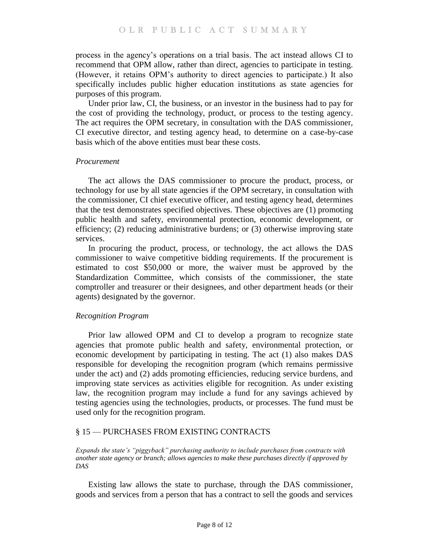process in the agency's operations on a trial basis. The act instead allows CI to recommend that OPM allow, rather than direct, agencies to participate in testing. (However, it retains OPM's authority to direct agencies to participate.) It also specifically includes public higher education institutions as state agencies for purposes of this program.

Under prior law, CI, the business, or an investor in the business had to pay for the cost of providing the technology, product, or process to the testing agency. The act requires the OPM secretary, in consultation with the DAS commissioner, CI executive director, and testing agency head, to determine on a case-by-case basis which of the above entities must bear these costs.

### *Procurement*

The act allows the DAS commissioner to procure the product, process, or technology for use by all state agencies if the OPM secretary, in consultation with the commissioner, CI chief executive officer, and testing agency head, determines that the test demonstrates specified objectives. These objectives are (1) promoting public health and safety, environmental protection, economic development, or efficiency; (2) reducing administrative burdens; or (3) otherwise improving state services.

In procuring the product, process, or technology, the act allows the DAS commissioner to waive competitive bidding requirements. If the procurement is estimated to cost \$50,000 or more, the waiver must be approved by the Standardization Committee, which consists of the commissioner, the state comptroller and treasurer or their designees, and other department heads (or their agents) designated by the governor.

### *Recognition Program*

Prior law allowed OPM and CI to develop a program to recognize state agencies that promote public health and safety, environmental protection, or economic development by participating in testing. The act (1) also makes DAS responsible for developing the recognition program (which remains permissive under the act) and (2) adds promoting efficiencies, reducing service burdens, and improving state services as activities eligible for recognition. As under existing law, the recognition program may include a fund for any savings achieved by testing agencies using the technologies, products, or processes. The fund must be used only for the recognition program.

## <span id="page-7-0"></span>§ 15 — PURCHASES FROM EXISTING CONTRACTS

<span id="page-7-1"></span>*Expands the state's "piggyback" purchasing authority to include purchases from contracts with another state agency or branch; allows agencies to make these purchases directly if approved by DAS*

Existing law allows the state to purchase, through the DAS commissioner, goods and services from a person that has a contract to sell the goods and services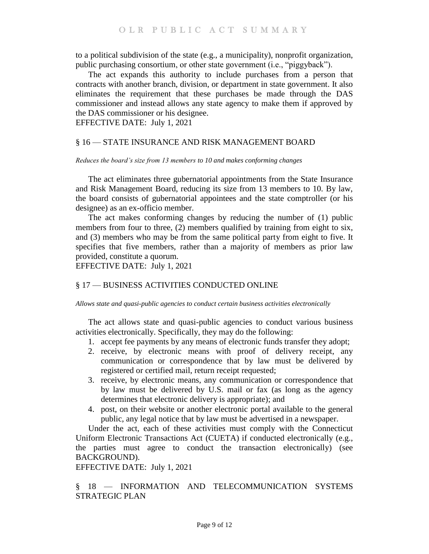to a political subdivision of the state (e.g., a municipality), nonprofit organization, public purchasing consortium, or other state government (i.e., "piggyback").

The act expands this authority to include purchases from a person that contracts with another branch, division, or department in state government. It also eliminates the requirement that these purchases be made through the DAS commissioner and instead allows any state agency to make them if approved by the DAS commissioner or his designee.

EFFECTIVE DATE: July 1, 2021

### <span id="page-8-0"></span>§ 16 — STATE INSURANCE AND RISK MANAGEMENT BOARD

#### <span id="page-8-1"></span>*Reduces the board's size from 13 members to 10 and makes conforming changes*

The act eliminates three gubernatorial appointments from the State Insurance and Risk Management Board, reducing its size from 13 members to 10. By law, the board consists of gubernatorial appointees and the state comptroller (or his designee) as an ex-officio member.

The act makes conforming changes by reducing the number of (1) public members from four to three, (2) members qualified by training from eight to six, and (3) members who may be from the same political party from eight to five. It specifies that five members, rather than a majority of members as prior law provided, constitute a quorum.

EFFECTIVE DATE: July 1, 2021

# <span id="page-8-2"></span>§ 17 — BUSINESS ACTIVITIES CONDUCTED ONLINE

<span id="page-8-3"></span>*Allows state and quasi-public agencies to conduct certain business activities electronically*

The act allows state and quasi-public agencies to conduct various business activities electronically. Specifically, they may do the following:

- 1. accept fee payments by any means of electronic funds transfer they adopt;
- 2. receive, by electronic means with proof of delivery receipt, any communication or correspondence that by law must be delivered by registered or certified mail, return receipt requested;
- 3. receive, by electronic means, any communication or correspondence that by law must be delivered by U.S. mail or fax (as long as the agency determines that electronic delivery is appropriate); and
- 4. post, on their website or another electronic portal available to the general public, any legal notice that by law must be advertised in a newspaper.

Under the act, each of these activities must comply with the Connecticut Uniform Electronic Transactions Act (CUETA) if conducted electronically (e.g., the parties must agree to conduct the transaction electronically) (see BACKGROUND).

EFFECTIVE DATE: July 1, 2021

<span id="page-8-4"></span>§ 18 — INFORMATION AND TELECOMMUNICATION SYSTEMS STRATEGIC PLAN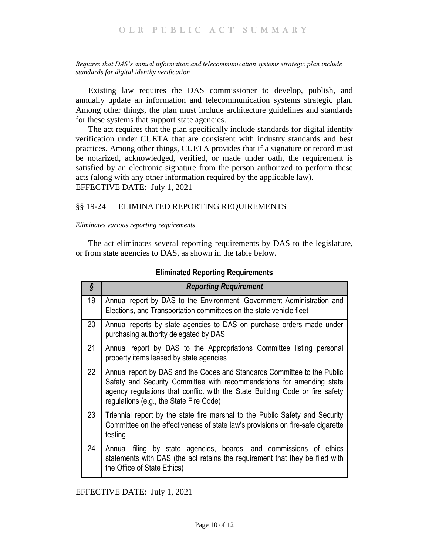#### <span id="page-9-0"></span>*Requires that DAS's annual information and telecommunication systems strategic plan include standards for digital identity verification*

Existing law requires the DAS commissioner to develop, publish, and annually update an information and telecommunication systems strategic plan. Among other things, the plan must include architecture guidelines and standards for these systems that support state agencies.

The act requires that the plan specifically include standards for digital identity verification under CUETA that are consistent with industry standards and best practices. Among other things, CUETA provides that if a signature or record must be notarized, acknowledged, verified, or made under oath, the requirement is satisfied by an electronic signature from the person authorized to perform these acts (along with any other information required by the applicable law). EFFECTIVE DATE: July 1, 2021

## <span id="page-9-1"></span>§§ 19-24 — ELIMINATED REPORTING REQUIREMENTS

#### <span id="page-9-2"></span>*Eliminates various reporting requirements*

The act eliminates several reporting requirements by DAS to the legislature, or from state agencies to DAS, as shown in the table below.

| $\hat{\S}$ | <b>Reporting Requirement</b>                                                                                                                                                                                                                                                 |
|------------|------------------------------------------------------------------------------------------------------------------------------------------------------------------------------------------------------------------------------------------------------------------------------|
| 19         | Annual report by DAS to the Environment, Government Administration and<br>Elections, and Transportation committees on the state vehicle fleet                                                                                                                                |
| 20         | Annual reports by state agencies to DAS on purchase orders made under<br>purchasing authority delegated by DAS                                                                                                                                                               |
| 21         | Annual report by DAS to the Appropriations Committee listing personal<br>property items leased by state agencies                                                                                                                                                             |
| 22         | Annual report by DAS and the Codes and Standards Committee to the Public<br>Safety and Security Committee with recommendations for amending state<br>agency regulations that conflict with the State Building Code or fire safety<br>regulations (e.g., the State Fire Code) |
| 23         | Triennial report by the state fire marshal to the Public Safety and Security<br>Committee on the effectiveness of state law's provisions on fire-safe cigarette<br>testing                                                                                                   |
| 24         | Annual filing by state agencies, boards, and commissions of ethics<br>statements with DAS (the act retains the requirement that they be filed with<br>the Office of State Ethics)                                                                                            |

### **Eliminated Reporting Requirements**

EFFECTIVE DATE: July 1, 2021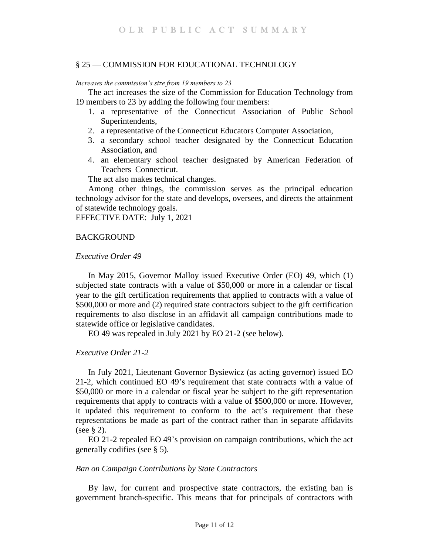### <span id="page-10-0"></span>§ 25 — COMMISSION FOR EDUCATIONAL TECHNOLOGY

### <span id="page-10-1"></span>*Increases the commission's size from 19 members to 23*

The act increases the size of the Commission for Education Technology from 19 members to 23 by adding the following four members:

- 1. a representative of the Connecticut Association of Public School Superintendents,
- 2. a representative of the Connecticut Educators Computer Association,
- 3. a secondary school teacher designated by the Connecticut Education Association, and
- 4. an elementary school teacher designated by American Federation of Teachers–Connecticut.

The act also makes technical changes.

Among other things, the commission serves as the principal education technology advisor for the state and develops, oversees, and directs the attainment of statewide technology goals.

EFFECTIVE DATE: July 1, 2021

#### <span id="page-10-2"></span>**BACKGROUND**

#### *Executive Order 49*

In May 2015, Governor Malloy issued Executive Order (EO) 49, which (1) subjected state contracts with a value of \$50,000 or more in a calendar or fiscal year to the gift certification requirements that applied to contracts with a value of \$500,000 or more and (2) required state contractors subject to the gift certification requirements to also disclose in an affidavit all campaign contributions made to statewide office or legislative candidates.

EO 49 was repealed in July 2021 by EO 21-2 (see below).

### *Executive Order 21-2*

In July 2021, Lieutenant Governor Bysiewicz (as acting governor) issued EO 21-2, which continued EO 49's requirement that state contracts with a value of \$50,000 or more in a calendar or fiscal year be subject to the gift representation requirements that apply to contracts with a value of \$500,000 or more. However, it updated this requirement to conform to the act's requirement that these representations be made as part of the contract rather than in separate affidavits (see § 2).

EO 21-2 repealed EO 49's provision on campaign contributions, which the act generally codifies (see § 5).

### *Ban on Campaign Contributions by State Contractors*

By law, for current and prospective state contractors, the existing ban is government branch-specific. This means that for principals of contractors with